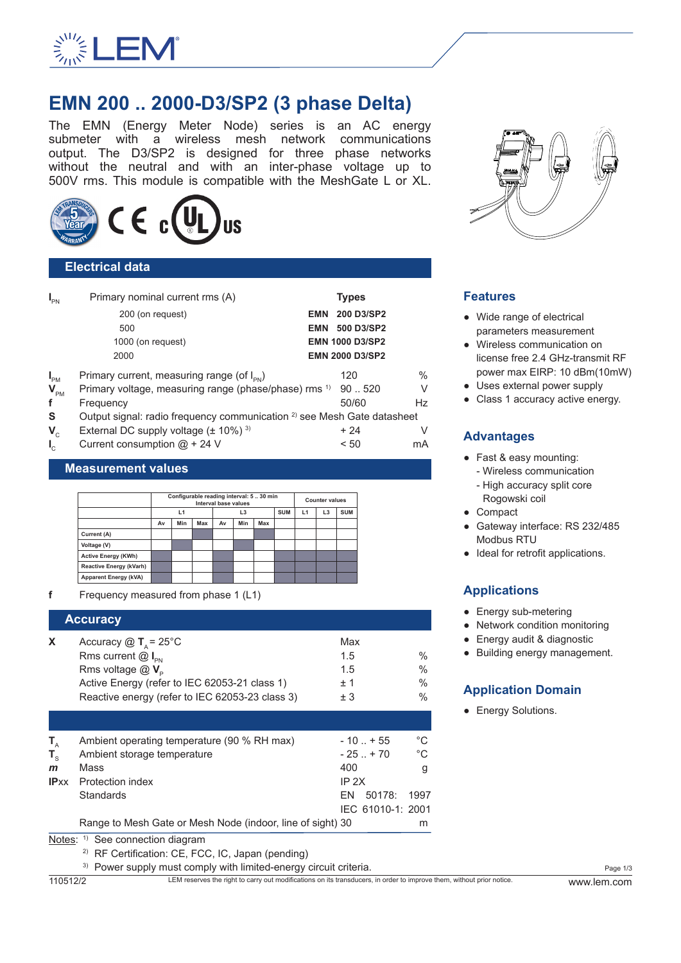

# **EMN 200 .. 2000-D3/SP2 (3 phase Delta)**

The EMN (Energy Meter Node) series is an AC energy submeter with a wireless mesh network communications output. The D3/SP2 is designed for three phase networks without the neutral and with an inter-phase voltage up to 500V rms. This module is compatible with the MeshGate L or XL.



## **Electrical data**

| $I_{\text{PN}}$      | Primary nominal current rms (A)                                                    |            | <b>Types</b>           |               |
|----------------------|------------------------------------------------------------------------------------|------------|------------------------|---------------|
|                      | 200 (on request)                                                                   | <b>EMN</b> | 200 D3/SP2             |               |
|                      | 500                                                                                | <b>EMN</b> | 500 D3/SP2             |               |
|                      | 1000 (on request)                                                                  |            | <b>EMN 1000 D3/SP2</b> |               |
|                      | 2000                                                                               |            | <b>EMN 2000 D3/SP2</b> |               |
| $I_{\text{PM}}$      | Primary current, measuring range (of $I_{\text{pN}}$ )                             |            | 120                    | $\frac{0}{0}$ |
| $V_{\text{PM}}$      | Primary voltage, measuring range (phase/phase) rms <sup>1)</sup>                   |            | 90.520                 | V             |
| f                    | Frequency                                                                          |            | 50/60                  | Hz            |
| <b>S</b>             | Output signal: radio frequency communication <sup>2)</sup> see Mesh Gate datasheet |            |                        |               |
| $V_c$                | External DC supply voltage $(\pm 10\%)$ <sup>3)</sup>                              |            | $+24$                  | V             |
| $\mathbf{I}_{\rm c}$ | Current consumption $@ + 24 V$                                                     |            | < 50                   | mA            |
|                      |                                                                                    |            |                        |               |

#### **Measurement values**

|                                | Configurable reading interval: 530 min<br>Interval base values |     |     |    |                |     | <b>Counter values</b> |    |                |            |
|--------------------------------|----------------------------------------------------------------|-----|-----|----|----------------|-----|-----------------------|----|----------------|------------|
|                                | L1                                                             |     |     |    | L <sub>3</sub> |     | <b>SUM</b>            | L1 | L <sub>3</sub> | <b>SUM</b> |
|                                | Av                                                             | Min | Max | Av | Min            | Max |                       |    |                |            |
| Current (A)                    |                                                                |     |     |    |                |     |                       |    |                |            |
| Voltage (V)                    |                                                                |     |     |    |                |     |                       |    |                |            |
| <b>Active Energy (KWh)</b>     |                                                                |     |     |    |                |     |                       |    |                |            |
| <b>Reactive Energy (kVarh)</b> |                                                                |     |     |    |                |     |                       |    |                |            |
| <b>Apparent Energy (kVA)</b>   |                                                                |     |     |    |                |     |                       |    |                |            |

**f** Frequency measured from phase 1 (L1)

|   | <b>Accuracy</b>                                               |      |               |
|---|---------------------------------------------------------------|------|---------------|
| X | Accuracy $\textcircled{1}$ T <sub>A</sub> = 25 <sup>°</sup> C | Max  |               |
|   | Rms current $@I_{\scriptscriptstyle{DN}}$                     | 1.5  | $\frac{0}{0}$ |
|   | Rms voltage $@V_{\scriptscriptstyle D}$                       | 1.5  | $\%$          |
|   | Active Energy (refer to IEC 62053-21 class 1)                 | $+1$ | $\frac{0}{0}$ |
|   | Reactive energy (refer to IEC 62053-23 class 3)               | ± 3  | $\frac{0}{0}$ |
|   |                                                               |      |               |

| Т.           | Ambient operating temperature (90 % RH max)                |     | $-10$ $+55$       | °C   |  |
|--------------|------------------------------------------------------------|-----|-------------------|------|--|
| $T_{\circ}$  | Ambient storage temperature                                |     | $-25$ $+70$       | °C   |  |
| $\mathbf{m}$ | Mass                                                       | 400 |                   | g    |  |
|              | <b>IPxx</b> Protection index                               |     | IP 2X             |      |  |
|              | <b>Standards</b>                                           | FN. | 50178:            | 1997 |  |
|              |                                                            |     | IEC 61010-1: 2001 |      |  |
|              | Range to Mesh Gate or Mesh Node (indoor, line of sight) 30 |     |                   | m    |  |

Notes: <sup>1)</sup> See connection diagram

2) RF Certification: CE, FCC, IC, Japan (pending)

<sup>3)</sup> Power supply must comply with limited-energy circuit criteria.



## **Features**

- Wide range of electrical parameters measurement
- Wireless communication on license free 2.4 GHz-transmit RF power max EIRP: 10 dBm(10mW)
- Uses external power supply
- Class 1 accuracy active energy.

## **Advantages**

- Fast & easy mounting: - Wireless communication
	- High accuracy split core Rogowski coil
- Compact
- Gateway interface: RS 232/485 Modbus RTU
- Ideal for retrofit applications.

## **Applications**

- Energy sub-metering
- Network condition monitoring
- Energy audit & diagnostic
- Building energy management.

## **Application Domain**

• Energy Solutions.

110512/2 LEM reserves the right to carry out modifications on its transducers, in order to improve them, without prior notice. www.lem.com

Page 1/3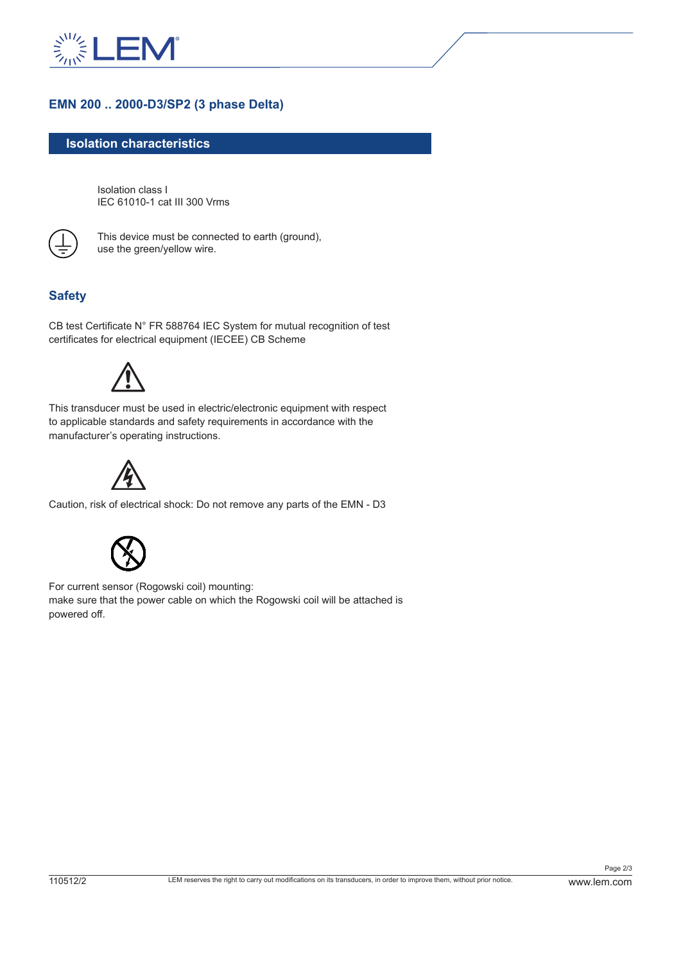

## **EMN 200 .. 2000-D3/SP2 (3 phase Delta)**

### **Isolation characteristics**

Isolation class I IEC 61010-1 cat III 300 Vrms



This device must be connected to earth (ground), use the green/yellow wire.

## **Safety**

CB test Certificate N° FR 588764 IEC System for mutual recognition of test certificates for electrical equipment (IECEE) CB Scheme



This transducer must be used in electric/electronic equipment with respect to applicable standards and safety requirements in accordance with the manufacturer's operating instructions.



Caution, risk of electrical shock: Do not remove any parts of the EMN - D3



For current sensor (Rogowski coil) mounting: make sure that the power cable on which the Rogowski coil will be attached is powered off.